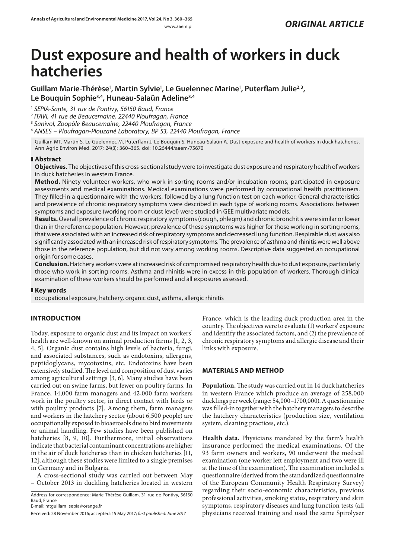# **Dust exposure and health of workers in duck hatcheries**

Guillam Marie-Thérèse<sup>1</sup>, Martin Sylvie<sup>1</sup>, Le Guelennec Marine<sup>1</sup>, Puterflam Julie<sup>2,3</sup>, **Le Bouquin Sophie3,4, Huneau-Salaün Adeline3,4**

<sup>1</sup> *SEPIA-Sante, 31 rue de Pontivy, 56150 Baud, France*

<sup>2</sup> *ITAVI, 41 rue de Beaucemaine, 22440 Ploufragan, France*

<sup>3</sup> *Sanivol, Zoopôle Beaucemaine, 22440 Ploufragan, France*

<sup>4</sup> *ANSES – Ploufragan-Plouzané Laboratory, BP 53, 22440 Ploufragan, France*

Guillam MT, Martin S, Le Guelennec M, Puterflam J, Le Bouquin S, Huneau-Salaün A. Dust exposure and health of workers in duck hatcheries. Ann Agric Environ Med. 2017; 24(3): 360–365. doi: 10.26444/aaem/75670

# **Abstract**

**Objectives.** The objectives of this cross-sectional study were to investigate dust exposure and respiratory health of workers in duck hatcheries in western France.

**Method.** Ninety volunteer workers, who work in sorting rooms and/or incubation rooms, participated in exposure assessments and medical examinations. Medical examinations were performed by occupational health practitioners. They filled-in a questionnaire with the workers, followed by a lung function test on each worker. General characteristics and prevalence of chronic respiratory symptoms were described in each type of working rooms. Associations between symptoms and exposure (working room or dust level) were studied in GEE multivariate models.

**Results.** Overall prevalence of chronic respiratory symptoms (cough, phlegm) and chronic bronchitis were similar or lower than in the reference population. However, prevalence of these symptoms was higher for those working in sorting rooms, that were associated with an increased risk of respiratory symptoms and decreased lung function. Respirable dust was also significantly associated with an increased risk of respiratory symptoms. The prevalence of asthma and rhinitis were well above those in the reference population, but did not vary among working rooms. Descriptive data suggested an occupational origin for some cases.

**Conclusion.** Hatchery workers were at increased risk of compromised respiratory health due to dust exposure, particularly those who work in sorting rooms. Asthma and rhinitis were in excess in this population of workers. Thorough clinical examination of these workers should be performed and all exposures assessed.

## **Key words**

occupational exposure, hatchery, organic dust, asthma, allergic rhinitis

# **INTRODUCTION**

Today, exposure to organic dust and its impact on workers' health are well-known on animal production farms [1, 2, 3, 4, 5]. Organic dust contains high levels of bacteria, fungi, and associated substances, such as endotoxins, allergens, peptidoglycans, mycotoxins, etc. Endotoxins have been extensively studied. The level and composition of dust varies among agricultural settings [3, 6]. Many studies have been carried out on swine farms, but fewer on poultry farms. In France, 14,000 farm managers and 42,000 farm workers work in the poultry sector, in direct contact with birds or with poultry products [7]. Among them, farm managers and workers in the hatchery sector (about 6,500 people) are occupationally exposed to bioaerosols due to bird movements or animal handling. Few studies have been published on hatcheries [8, 9, 10]. Furthermore, initial observations indicate that bacterial contaminant concentrations are higher in the air of duck hatcheries than in chicken hatcheries [11, 12], although these studies were limited to a single premises in Germany and in Bulgaria.

A cross-sectional study was carried out between May – October 2013 in duckling hatcheries located in western

Address for correspondence: Marie-Thérèse Guillam, 31 rue de Pontivy, 56150 Baud, France E-mail: mtguillam\_sepia@orange.fr

France, which is the leading duck production area in the country. The objectives were to evaluate (1) workers' exposure and identify the associated factors, and (2) the prevalence of chronic respiratory symptoms and allergic disease and their links with exposure.

# **MATERIALS AND METHOD**

**Population.** The study was carried out in 14 duck hatcheries in western France which produce an average of 258,000 ducklings per week (range: 54,000–1700,000). A questionnaire was filled-in together with the hatchery managers to describe the hatchery characteristics (production size, ventilation system, cleaning practices, etc.).

**Health data.** Physicians mandated by the farm's health insurance performed the medical examinations. Of the 93 farm owners and workers, 90 underwent the medical examination (one worker left employment and two were ill at the time of the examination). The examination included a questionnaire (derived from the standardized questionnaire of the European Community Health Respiratory Survey) regarding their socio-economic characteristics, previous professional activities, smoking status, respiratory and skin symptoms, respiratory diseases and lung function tests (all physicians received training and used the same Spirolyser

Received: 28 November 2016; accepted: 15 May 2017; *first published: June 2017*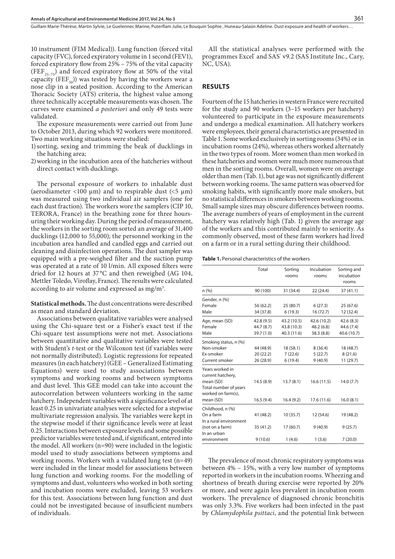Guillam Marie-Thérèse, Martin Sylvie, Le Guelennec Marine, Puterflam Julie, Le Bouquin Sophie , Huneau-Salaün Adeline . Dust exposure and health of workers…

10 instrument (FIM Medical)). Lung function (forced vital capacity (FVC), forced expiratory volume in 1 second (FEV1), forced expiratory flow from 25% – 75% of the vital capacity (FEF<sub>25–75</sub>) and forced expiratory flow at 50% of the vital capacity (FEF<sub> $\epsilon$ o</sub>)) was tested by having the workers wear a nose clip in a seated position. According to the American Thoracic Society (ATS) criteria, the highest value among three technically acceptable measurements was chosen. The curves were examined *a posteriori* and only 49 tests were validated.

The exposure measurements were carried out from June to October 2013, during which 92 workers were monitored. Two main working situations were studied:

- 1)sorting, sexing and trimming the beak of ducklings in the hatching area;
- 2)working in the incubation area of the hatcheries without direct contact with ducklings.

The personal exposure of workers to inhalable dust (aerodiameter <100  $\mu$ m) and to respirable dust (<5  $\mu$ m) was measured using two individual air samplers (one for each dust fraction). The workers wore the samplers (CIP 10, TERORA, France) in the breathing zone for three hoursuring their working day. During the period of measurement, the workers in the sorting room sorted an average of 31,400 ducklings (12,000 to 55,000); the personnel working in the incubation area handled and candled eggs and carried out cleaning and disinfection operations. The dust sampler was equipped with a pre-weighed filter and the suction pump was operated at a rate of 10 l/min. All exposed filters were dried for 12 hours at 37 °C and then reweighed (AG 104, Mettler Toledo, Viroflay, France). The results were calculated according to air volume and expressed as mg/m $^3\!$ .

**Statistical methods.** The dust concentrations were described as mean and standard deviation.

Associations between qualitative variables were analysed using the Chi-square test or a Fisher's exact test if the Chi-square test assumptions were not met. Associations between quantitative and qualitative variables were tested with Student's *t*-test or the Wilcoxon test (if variables were not normally distributed). Logistic regressions for repeated measures (in each hatchery) (GEE – Generalized Estimating Equations) were used to study associations between symptoms and working rooms and between symptoms and dust level. This GEE model can take into account the autocorrelation between volunteers working in the same hatchery. Independent variables with a significance level of at least 0.25 in univariate analyses were selected for a stepwise multivariate regression analysis. The variables were kept in the stepwise model if their significance levels were at least 0.25. Interactions between exposure levels and some possible predictor variables were tested and, if significant, entered into the model. All workers (n=90) were included in the logistic model used to study associations between symptoms and working rooms. Workers with a validated lung test (n=49) were included in the linear model for associations between lung function and working rooms. For the modelling of symptoms and dust, volunteers who worked in both sorting and incubation rooms were excluded, leaving 53 workers for this test. Associations between lung function and dust could not be investigated because of insufficient numbers of individuals.

All the statistical analyses were performed with the programmes Excel® and SAS° v9.2 (SAS Institute Inc., Cary, NC, USA).

## **RESULTS**

Fourteen of the 15 hatcheries in western France were recruited for the study and 90 workers (3–15 workers per hatchery) volunteered to participate in the exposure measurements and undergo a medical examination. All hatchery workers were employees, their general characteristics are presented in Table 1. Some worked exclusively in sorting rooms (34%) or in incubation rooms (24%), whereas others worked alternately in the two types of room. More women than men worked in these hatcheries and women were much more numerous that men in the sorting rooms. Overall, women were on average older than men (Tab. 1), but age was not significantly different between working rooms. The same pattern was observed for smoking habits, with significantly more male smokers, but no statistical differences in smokers between working rooms. Small sample sizes may obscure differences between rooms. The average numbers of years of employment in the current hatchery was relatively high (Tab. 1) given the average age of the workers and this contributed mainly to seniority. As commonly observed, most of these farm workers had lived on a farm or in a rural setting during their childhood.

**Table 1.** Personal characteristics of the workers

|                                                                                                               | Total                   | Sorting<br>rooms       | Incubation<br>rooms       | Sorting and<br>incubation<br>rooms |
|---------------------------------------------------------------------------------------------------------------|-------------------------|------------------------|---------------------------|------------------------------------|
| n (%)                                                                                                         | 90 (100)                | 31 (34.4)              | 22 (24.4)                 | 37(41.1)                           |
| Gender, n (%)                                                                                                 |                         |                        |                           |                                    |
| Female                                                                                                        | 56 (62.2)               | 25 (80.7)              | 6(27.3)                   | 25(67.6)                           |
| Male                                                                                                          | 34 (37.8)               | 6(19.3)                | 16(72.7)                  | 12 (32.4)                          |
| Age, mean (SD)                                                                                                | 42.8 (9.5)              | 43.2 (10.5)            | 42.6 (10.2)               | 42.6(8.3)                          |
| Female                                                                                                        | 44.7 (8.7)              | 43.8 (10.3)            | 48.2 (6.8)                | 44.6 (7.4)                         |
| Male                                                                                                          | 39.7 (1.0)              | 40.3 (11.6)            | 38.3 (8.8)                | 40.6 (10.7)                        |
| Smoking status, n (%)                                                                                         |                         |                        |                           |                                    |
| Non-smoker                                                                                                    | 44 (48.9)               | 18 (58.1)              | 8(36.4)                   | 18 (48.7)                          |
| Ex-smoker                                                                                                     | 20(22.2)                | 7(22.6)                | 5(22.7)                   | 8(21.6)                            |
| Current smoker                                                                                                | 26 (28.9)               | 6(19.4)                | 9(40.9)                   | 11 (29.7)                          |
| Years worked in<br>current hatchery,<br>mean (SD)<br>Total number of years<br>worked on farm(s),<br>mean (SD) | 14.5 (8.9)<br>16.5(9.4) | 13.7(8.1)<br>16.4(9.2) | 16.6(11.5)<br>17.6 (11.6) | 14.0 (7.7)<br>16.0(8.1)            |
|                                                                                                               |                         |                        |                           |                                    |
| Childhood, n (%)<br>On a farm<br>In a rural environment                                                       | 41 (48.2)               | 10(35.7)               | 12 (54.6)                 | 19 (48.2)                          |
| (not on a farm)<br>In an urban                                                                                | 35 (41.2)               | 17(60.7)               | 9(40.9)                   | 9(25.7)                            |
| environment                                                                                                   | 9(10.6)                 | 1(4.6)                 | 1(3.6)                    | 7(20.0)                            |

The prevalence of most chronic respiratory symptoms was between 4% – 15%, with a very low number of symptoms reported in workers in the incubation rooms. Wheezing and shortness of breath during exercise were reported by 20% or more, and were again less prevalent in incubation room workers. The prevalence of diagnosed chronic bronchitis was only 3.3%. Five workers had been infected in the past by *Chlamydophila psittaci*, and the potential link between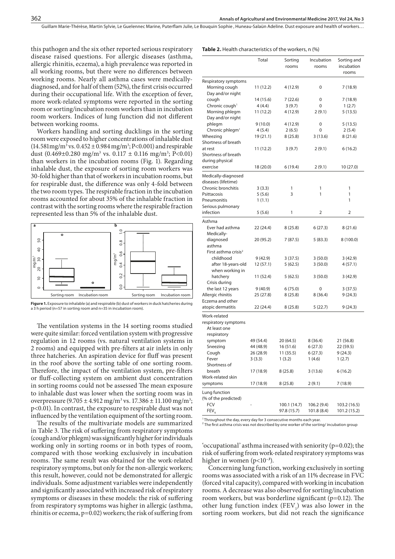**Table 2.** Health characteristics of the workers, n (%)

Guillam Marie-Thérèse, Martin Sylvie, Le Guelennec Marine, Puterflam Julie, Le Bouquin Sophie , Huneau-Salaün Adeline . Dust exposure and health of workers…

this pathogen and the six other reported serious respiratory disease raised questions. For allergic diseases (asthma, allergic rhinitis, eczema), a high prevalence was reported in all working rooms, but there were no differences between working rooms. Nearly all asthma cases were medicallydiagnosed, and for half of them (52%), the first crisis occurred during their occupational life. With the exception of fever, more work-related symptoms were reported in the sorting room or sorting/incubation room workers than in incubation room workers. Indices of lung function did not different between working rooms.

Workers handling and sorting ducklings in the sorting room were exposed to higher concentrations of inhalable dust  $(14.581mg/m<sup>3</sup>$  vs.  $0.452 \pm 0.984 mg/m<sup>3</sup>; P<0.001$ ) and respirable dust  $(0.469 \pm 0.280 \text{ mg/m}^3 \text{ vs. } 0.117 \pm 0.116 \text{ mg/m}^3 \text{ ; } P<0.01)$ than workers in the incubation rooms (Fig. 1). Regarding inhalable dust, the exposure of sorting room workers was 30-fold higher than that of workers in incubation rooms, but for respirable dust, the difference was only 4-fold between the two room types. The respirable fraction in the incubation rooms accounted for about 35% of the inhalable fraction in contrast with the sorting rooms where the respirable fraction represented less than 5% of the inhalable dust.





The ventilation systems in the 14 sorting rooms studied were quite similar: forced ventilation system with progressive regulation in 12 rooms (vs. natural ventilation systems in 2 rooms) and equipped with pre-filters at air inlets in only three hatcheries. An aspiration device for fluff was present in the roof above the sorting table of one sorting room. Therefore, the impact of the ventilation system, pre-filters or fluff-collecting system on ambient dust concentration in sorting rooms could not be assessed The mean exposure to inhalable dust was lower when the sorting room was in overpressure  $(9.705 \pm 4.912 \text{ mg/m}^3 \text{ vs. } 17.386 \pm 11.100 \text{ mg/m}^3)$ ; p<0.01). In contrast, the exposure to respirable dust was not influenced by the ventilation equipment of the sorting room.

The results of the multivariate models are summarized in Table 3. The risk of suffering from respiratory symptoms (cough and/or phlegm) was significantly higher for individuals working only in sorting rooms or in both types of room, compared with those working exclusively in incubation rooms. The same result was obtained for the work-related respiratory symptoms, but only for the non-allergic workers; this result, however, could not be demonstrated for allergic individuals. Some adjustment variables were independently and significantly associated with increased risk of respiratory symptoms or diseases in these models: the risk of suffering from respiratory symptoms was higher in allergic (asthma, rhinitis or eczema, p=0.02) workers; the risk of suffering from

|                                                      | Total               | Sorting<br>rooms   | Incubation<br>rooms | Sorting and<br>incubation<br>rooms |
|------------------------------------------------------|---------------------|--------------------|---------------------|------------------------------------|
| Respiratory symptoms                                 |                     |                    |                     |                                    |
| Morning cough                                        | 11 (12.2)           | 4 (12.9)           | 0                   | 7(18.9)                            |
| Day and/or night                                     |                     |                    |                     |                                    |
| cough<br>Chronic cough <sup>1</sup>                  | 14 (15.6)           | 7(22.6)            | 0<br>0              | 7(18.9)                            |
| Morning phlegm                                       | 4(4.4)<br>11 (12.2) | 3(9.7)<br>4 (12.9) | 2(9.1)              | 1(2.7)<br>5(13.5)                  |
| Day and/or night                                     |                     |                    |                     |                                    |
| phlegm                                               | 9(10.0)             | 4 (12.9)           | 0                   | 5(13.5)                            |
| Chronic phlegm <sup>1</sup>                          | 4(5.4)              | 2(6.5)             | 0                   | 2(5.4)                             |
| Wheezing<br>Shortness of breath                      | 19 (21.1)           | 8(25.8)            | 3(13.6)             | 8(21.6)                            |
| at rest                                              | 11 (12.2)           | 3(9.7)             | 2(9.1)              | 6(16.2)                            |
| Shortness of breath                                  |                     |                    |                     |                                    |
| during physical                                      |                     |                    |                     |                                    |
| exercise                                             | 18 (20.0)           | 6(19.4)            | 2(9.1)              | 10 (27.0)                          |
| Medically-diagnosed<br>diseases (lifetime)           |                     |                    |                     |                                    |
| Chronic bronchitis                                   | 3(3.3)              | 1                  | 1                   | 1                                  |
| Psittacosis                                          | 5(5.6)              | 3                  | 1                   | 1                                  |
| Pneumonitis                                          | 1(1.1)              |                    |                     | 1                                  |
| Serious pulmonary                                    |                     |                    |                     |                                    |
| infection                                            | 5(5.6)              | 1                  | 2                   | $\overline{2}$                     |
| Asthma                                               |                     |                    |                     |                                    |
| Ever had asthma<br>Medically-                        | 22 (24.4)           | 8(25.8)            | 6(27.3)             | 8(21.6)                            |
| diagnosed                                            | 20 (95.2)           | 7(87.5)            | 5(83.3)             | 8 (100.0)                          |
| asthma                                               |                     |                    |                     |                                    |
| First asthma crisis <sup>2</sup>                     |                     |                    |                     |                                    |
| childhood                                            | 9(42.9)             | 3(37.5)            | 3(50.0)             | 3(42.9)                            |
| after 18-years-old<br>when working in                | 12(57.1)            | 5(62.5)            | 3(50.0)             | 4(57.1)                            |
| hatchery                                             | 11 (52.4)           | 5(62.5)            | 3(50.0)             | 3(42.9)                            |
| Crisis during<br>the last 12 years                   | 9(40.9)             | 6(75.0)            | 0                   | 3(37.5)                            |
| Allergic rhinitis                                    | 25 (27.8)           | 8(25.8)            | 8(36.4)             | 9(24.3)                            |
| Eczema and other                                     |                     |                    |                     |                                    |
| atopic dermatitis                                    | 22 (24.4)           | 8(25.8)            | 5(22.7)             | 9(24.3)                            |
| Work-related<br>respiratory symptoms<br>At least one |                     |                    |                     |                                    |
| respiratory                                          |                     |                    |                     |                                    |
| symptom                                              | 49 (54.4)           | 20 (64.5)          | 8(36.4)             | 21 (56.8)                          |
| Sneezing                                             | 44 (48.9)           | 16 (51.6)          | 6(27.3)             | 22 (59.5)                          |
| Cough                                                | 26 (28.9)           | 11 (35.5)          | 6(27.3)             | 9(24.3)                            |
| Fever                                                | 3(3.3)              | 1(3.2)             | 1(4.6)              | 1(2.7)                             |
| Shortness of                                         |                     |                    |                     |                                    |
| breath                                               | 17 (18.9)           | 8(25.8)            | 3(13.6)             | 6 (16.2)                           |
| Work-related skin                                    |                     |                    |                     |                                    |
| symptoms                                             | 17 (18.9)           | 8(25.8)            | 2(9.1)              | 7(18.9)                            |
| Lung function<br>(% of the predicted)                |                     |                    |                     |                                    |
| FCV                                                  |                     | 100.1 (14.7)       | 106.2 (9.4)         | 103.2 (16.5)                       |
| FEV,                                                 |                     | 97.8 (15.7)        | 101.8 (8.4)         | 101.2 (15.2)                       |
|                                                      |                     |                    |                     |                                    |

1 Throughout the day, every day for 3 consecutive months each year.

<sup>2</sup> The first asthma crisis was not described by one worker of the sorting/incubation group

'occupational' asthma increased with seniority (p=0.02); the risk of suffering from work-related respiratory symptoms was higher in women (p<10*–3*).

Concerning lung function, working exclusively in sorting rooms was associated with a risk of an 11% decrease in FVC (forced vital capacity), compared with working in incubation rooms. A decrease was also observed for sorting/incubation room workers, but was borderline significant (p=0.12). The other lung function index  $(FEV_1)$  was also lower in the sorting room workers, but did not reach the significance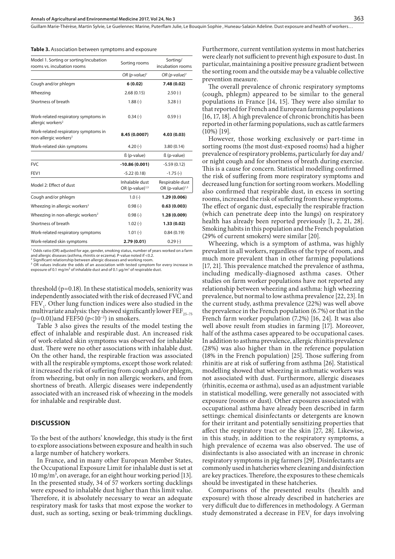Guillam Marie-Thérèse, Martin Sylvie, Le Guelennec Marine, Puterflam Julie, Le Bouquin Sophie , Huneau-Salaün Adeline . Dust exposure and health of workers…

**Table 3.** Association between symptoms and exposure

| Model 1. Sorting or sorting/incubation<br>rooms vs. incubation rooms      | Sorting rooms                        | Sorting/<br>incubation rooms          |
|---------------------------------------------------------------------------|--------------------------------------|---------------------------------------|
|                                                                           | $OR(p-value)^T$                      | $OR(p-value)^T$                       |
| Cough and/or phlegm                                                       | 6(0.02)                              | 7.48 (0.02)                           |
| Wheezing                                                                  | 2.68(0.15)                           | $2.50(-)$                             |
| Shortness of breath                                                       | $1.88(-)$                            | $3.28(-)$                             |
| Work-related respiratory symptoms in<br>allergic workers <sup>2</sup>     | $0.34(-)$                            | $0.59(-)$                             |
| Work-related respiratory symptoms in<br>non-allergic workers <sup>2</sup> | 8.45 (0.0007)                        | 4.03(0.03)                            |
| Work-related skin symptoms                                                | $4.20(-)$                            | 3.80(0.14)                            |
|                                                                           | $\beta$ (p-value)                    | $\beta$ (p-value)                     |
| <b>FVC</b>                                                                | $-10.86(0.001)$                      | $-5.59(0.12)$                         |
| FEV1                                                                      | $-5.22(0.18)$                        | $-1.75$ (-)                           |
| Model 2: Effect of dust                                                   | Inhalable dust<br>OR (p-value) $1,3$ | Respirable dust<br>OR (p-value) $1,3$ |
| Cough and/or phlegm                                                       | $1.0(-)$                             | 1.29 (0.006)                          |
| Wheezing in allergic workers <sup>2</sup>                                 | $0.98(-)$                            | 0.63(0.003)                           |
| Wheezing in non-allergic workers <sup>2</sup>                             | $0.98(-)$                            | 1.28 (0.009)                          |
| Shortness of breath                                                       | $1.02(-)$                            | 1.33(0.02)                            |
| Work-related respiratory symptoms                                         | $1.01(-)$                            | 0.84(0.19)                            |
| Work-related skin symptoms                                                | 2.79(0.01)                           | $0.29(-)$                             |

1 Odds ratio (OR) adjusted for age, gender, smoking status, number of years worked on a farm and allergic diseases (asthma, rhinitis or eczema). P-value noted if <0.2.

Significant relationship between allergic diseases and working room.

<sup>3</sup> OR values indicate the odds of an association with tested symptom for every increase in exposure of 0.1 mg/m<sup>3</sup> of inhalable dust and of 0.1  $\mu$ g/m<sup>3</sup> of respirable dust.

threshold (p=0.18). In these statistical models, seniority was independently associated with the risk of decreased FVC and  $FEV<sub>1</sub>$ . Other lung function indices were also studied in the multivariate analysis: they showed significantly lower FEF $_{25-75}$  $(p=0.01)$ and FEF50  $(p<10^{-2})$  in smokers.

Table 3 also gives the results of the model testing the effect of inhalable and respirable dust. An increased risk of work-related skin symptoms was observed for inhalable dust. There were no other associations with inhalable dust. On the other hand, the respirable fraction was associated with all the respirable symptoms, except those work related: it increased the risk of suffering from cough and/or phlegm, from wheezing, but only in non allergic workers, and from shortness of breath. Allergic diseases were independently associated with an increased risk of wheezing in the models for inhalable and respirable dust.

### **DISCUSSION**

To the best of the authors' knowledge, this study is the first to explore associations between exposure and health in such a large number of hatchery workers.

In France, and in many other European Member States, the Occupational Exposure Limit for inhalable dust is set at 10 mg/m3 , on average, for an eight hour working period [13]. In the presented study, 34 of 57 workers sorting ducklings were exposed to inhalable dust higher than this limit value. Therefore, it is absolutely necessary to wear an adequate respiratory mask for tasks that most expose the worker to dust, such as sorting, sexing or beak-trimming ducklings.

Furthermore, current ventilation systems in most hatcheries were clearly not sufficient to prevent high exposure to dust. In particular, maintaining a positive pressure gradient between the sorting room and the outside may be a valuable collective prevention measure.

The overall prevalence of chronic respiratory symptoms (cough, phlegm) appeared to be similar to the general populations in France [14, 15]. They were also similar to that reported for French and European farming populations [16, 17, 18]. A high prevalence of chronic bronchitis has been reported in other farming populations, such as cattle farmers (10%) [19].

However, those working exclusively or part-time in sorting rooms (the most dust-exposed rooms) had a higher prevalence of respiratory problems, particularly for day and/ or night cough and for shortness of breath during exercise. This is a cause for concern. Statistical modelling confirmed the risk of suffering from more respiratory symptoms and decreased lung function for sorting room workers. Modelling also confirmed that respirable dust, in excess in sorting rooms, increased the risk of suffering from these symptoms. The effect of organic dust, especially the respirable fraction (which can penetrate deep into the lungs) on respiratory health has already been reported previously [1, 2, 21, 28]. Smoking habits in this population and the French population (29% of current smokers) were similar [20].

Wheezing, which is a symptom of asthma, was highly prevalent in all workers, regardless of the type of room, and much more prevalent than in other farming populations [17, 21]. This prevalence matched the prevalence of asthma, including medically-diagnosed asthma cases. Other studies on farm worker populations have not reported any relationship between wheezing and asthma: high wheezing prevalence, but normal to low asthma prevalence [22, 23]. In the current study, asthma prevalence (22%) was well above the prevalence in the French population (6.7%) or that in the French farm worker population (7.2%) [16, 24]. It was also well above result from studies in farming [17]. Moreover, half of the asthma cases appeared to be occupational cases. In addition to asthma prevalence, allergic rhinitis prevalence (28%) was also higher than in the reference population (18% in the French population) [25]. Those suffering from rhinitis are at risk of suffering from asthma [26]. Statistical modelling showed that wheezing in asthmatic workers was not associated with dust. Furthermore, allergic diseases (rhinitis, eczema or asthma), used as an adjustment variable in statistical modelling, were generally not associated with exposure (rooms or dust). Other exposures associated with occupational asthma have already been described in farm settings: chemical disinfectants or detergents are known for their irritant and potentially sensitizing properties that affect the respiratory tract or the skin [27, 28]. Likewise, in this study, in addition to the respiratory symptoms, a high prevalence of eczema was also observed. The use of disinfectants is also associated with an increase in chronic respiratory symptoms in pig farmers [29]. Disinfectants are commonly used in hatcheries where cleaning and disinfection are key practices. Therefore, the exposures to these chemicals should be investigated in these hatcheries.

Comparisons of the presented results (health and exposure) with those already described in hatcheries are very difficult due to differences in methodology. A German study demonstrated a decrease in  $\text{FEV}_1$  for days involving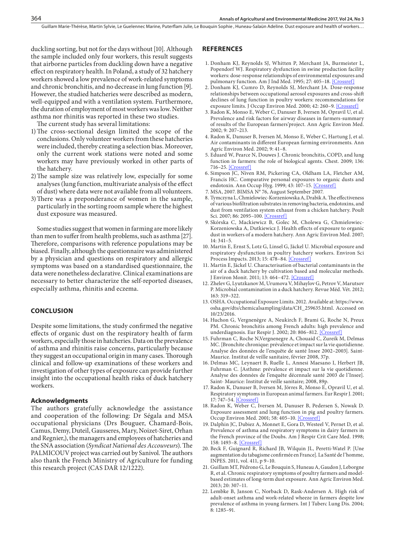duckling sorting, but not for the days without [10]. Although the sample included only four workers, this result suggests that airborne particles from duckling down have a negative effect on respiratory health. In Poland, a study of 32 hatchery workers showed a low prevalence of work-related symptoms and chronic bronchitis, and no decrease in lung function [9]. However, the studied hatcheries were described as modern, well-equipped and with a ventilation system. Furthermore, the duration of employment of most workers was low. Neither asthma nor rhinitis was reported in these two studies.

The current study has several limitations:

- 1)The cross-sectional design limited the scope of the conclusions. Only volunteer workers from these hatcheries were included, thereby creating a selection bias. Moreover, only the current work stations were noted and some workers may have previously worked in other parts of the hatchery.
- 2)The sample size was relatively low, especially for some analyses (lung function, multivariate analysis of the effect of dust) where data were not available from all volunteers.
- 3)There was a preponderance of women in the sample, particularly in the sorting room sample where the highest dust exposure was measured.

Some studies suggest that women in farming are more likely than men to suffer from health problems, such as asthma [27]. Therefore, comparisons with reference populations may be biased. Finally, although the questionnaire was administered by a physician and questions on respiratory and allergic symptoms was based on a standardised questionnaire, the data were nonetheless declarative. Clinical examinations are necessary to better characterize the self-reported diseases, especially asthma, rhinitis and eczema.

#### **CONCLUSION**

Despite some limitations, the study confirmed the negative effects of organic dust on the respiratory health of farm workers, especially those in hatcheries. Data on the prevalence of asthma and rhinitis raise concerns, particularly because they suggest an occupational origin in many cases. Thorough clinical and follow-up examinations of these workers and investigation of other types of exposure can provide further insight into the occupational health risks of duck hatchery workers.

#### **Acknowledgments**

The authors gratefully acknowledge the assistance and cooperation of the following: Dr Ségala and MSA occupational physicians (Drs Bouguer, Chamard-Bois, Camus, Demy, Duteil, Gausseres, Mary, Noizet-Siret, Orhan and Regnier,), the managers and employees of hatcheries and the SNA association (*Syndicat National des Accouveurs*). The PALMICOUV project was carried out by Sanivol. The authors also thank the French Ministry of Agriculture for funding this research project (CAS DAR 12/1222).

#### **REFERENCES**

- 1. Donham KJ, Reynolds SJ, Whitten P, Merchant JA, Burmeister L, Popendorf WJ. [Respiratory dysfunction in swine production facility](http://www.ncbi.nlm.nih.gov/pubmed/7747746)  [workers: dose-response relationships of environmental exposures and](http://www.ncbi.nlm.nih.gov/pubmed/7747746)  [pulmonary function.](http://www.ncbi.nlm.nih.gov/pubmed/7747746) Am J Ind Med. 1995; 27: 405-18. [\[Crossref\]](https://doi.org/10.1002/ajim.4700270309)
- 2. Donham KJ, Cumro D, Reynolds SJ, Merchant JA. [Dose-response](http://www.ncbi.nlm.nih.gov/pubmed/10738705)  [relationships between occupational aerosol exposures and cross-shift](http://www.ncbi.nlm.nih.gov/pubmed/10738705)  [declines of lung function in poultry workers: recommendations for](http://www.ncbi.nlm.nih.gov/pubmed/10738705)  [exposure limits.](http://www.ncbi.nlm.nih.gov/pubmed/10738705) J Occup Environ Med. 2000; 42: 260–9. [\[Crossref\]](https://doi.org/10.1097/00043764-200003000-00006)
- 3. Radon K, Monso E, Weber C, Danuser B, Iversen M, Opravil U, et al. Prevalence and risk factors for airway diseases in farmers-summary of results of the European farmers'project. Ann Agric Environ Med. 2002; 9: 207–213.
- 4. Radon K, Danuser B, Iversen M, Monso E, Weber C, Hartung J, et al. Air contaminants in different European farming environments. Ann Agric Environ Med. 2002; 9: 41–8.
- 5. Eduard W, Pearce N, Douwes J. [Chronic bronchitis, COPD, and lung](http://www.ncbi.nlm.nih.gov/pubmed/19318669)  [function in farmers: the role of biological agents.](http://www.ncbi.nlm.nih.gov/pubmed/19318669) Chest. 2009; 136: 716–25. [\[Crossref\]](https://doi.org/10.1378/chest.08-2192)
- 6. [Simpson JC,](http://www.ncbi.nlm.nih.gov/pubmed/?term=Simpson JC%5BAuthor%5D&cauthor=true&cauthor_uid=10206039) [Niven RM,](http://www.ncbi.nlm.nih.gov/pubmed/?term=Niven RM%5BAuthor%5D&cauthor=true&cauthor_uid=10206039) [Pickering CA,](http://www.ncbi.nlm.nih.gov/pubmed/?term=Pickering CA%5BAuthor%5D&cauthor=true&cauthor_uid=10206039) [Oldham LA](http://www.ncbi.nlm.nih.gov/pubmed/?term=Oldham LA%5BAuthor%5D&cauthor=true&cauthor_uid=10206039), [Fletcher AM,](http://www.ncbi.nlm.nih.gov/pubmed/?term=Fletcher AM%5BAuthor%5D&cauthor=true&cauthor_uid=10206039) [Francis HC.](http://www.ncbi.nlm.nih.gov/pubmed/?term=Francis HC%5BAuthor%5D&cauthor=true&cauthor_uid=10206039) Comparative personal exposures to organic dusts and endotoxin. [Ann Occup Hyg.](http://www.ncbi.nlm.nih.gov/pubmed/10206039) 1999; 43: 107–15. [\[Crossref\]](https://doi.org/10.1016/s0003-4878(98)00083-0)
- 7. MSA, 2007. BIMSA N° 76, August September 2007.
- 8. Tymczyna L, Chmielowiec-Korzeniowska A, Drabik A. [The effectiveness](http://www.ncbi.nlm.nih.gov/pubmed/17878437)  [of various biofiltration substrates in removing bacteria, endotoxins, and](http://www.ncbi.nlm.nih.gov/pubmed/17878437)  [dust from ventilation system exhaust from a chicken hatchery.](http://www.ncbi.nlm.nih.gov/pubmed/17878437) Poult Sci. 2007; 86: 2095–100. [\[Crossref\]](https://doi.org/10.1093/ps/86.10.2095)
- 9. Skórska C, Mackiewicz B, Golec M, Cholewa G, Chmielowiec-Korzeniowska A, Dutkiewicz J. [Health effects of exposure to organic](http://www.ncbi.nlm.nih.gov/pubmed/18247474)  [dust in workers of a modern hatchery.](http://www.ncbi.nlm.nih.gov/pubmed/18247474) Ann Agric Environ Med. 2007; 14: 341–5.
- 10. [Martin E,](http://www.ncbi.nlm.nih.gov/pubmed/?term=Martin E%5BAuthor%5D&cauthor=true&cauthor_uid=25208713) [Ernst S](http://www.ncbi.nlm.nih.gov/pubmed/?term=Ernst S%5BAuthor%5D&cauthor=true&cauthor_uid=25208713), [Lotz G,](http://www.ncbi.nlm.nih.gov/pubmed/?term=Lotz G%5BAuthor%5D&cauthor=true&cauthor_uid=25208713) [Linsel G,](http://www.ncbi.nlm.nih.gov/pubmed/?term=Linsel G%5BAuthor%5D&cauthor=true&cauthor_uid=25208713) [Jäckel U](http://www.ncbi.nlm.nih.gov/pubmed/?term=J%C3%A4ckel U%5BAuthor%5D&cauthor=true&cauthor_uid=25208713). Microbial exposure and respiratory dysfunction in poultry hatchery workers. [Environ Sci](http://www.ncbi.nlm.nih.gov/pubmed/?term=martin+ernst+lotz+jackel)  [Process Impacts.](http://www.ncbi.nlm.nih.gov/pubmed/?term=martin+ernst+lotz+jackel) 2013; 15: 478–84. [\[Crossref\]](https://doi.org/10.1039/c2em30758h)
- 11. Martin E, Jäckel U. Characterisation of bacterial contaminants in the air of a duck hatchery by cultivation based and molecular methods. J Environ Monit. 2011; 13: 464–472. [\[Crossref\]](https://doi.org/10.1039/c0em00272k)
- 12. Zhelev G, Lyutzkanov M, Urumova V, Mihaylov G, Petrov V, Marutsov P. Microbial contamination in a duck hatchery. Revue Méd. Vét. 2012; 163: 319–322.
- 13. OSHA. Occupational Exposure Limits. 2012. Available at: https://www. osha.gov/dts/chemicalsampling/data/CH\_259635.html. Accessed on 10/23/2016.
- 14. Huchon G, Vergnenègre A, Neukirch F, Brami G, Roche N, Preux PM. Chronic bronchitis among French adults: high prevalence and underdiagnosis. Eur Respir J. 2002; 20: 806-812. [\[Crossref\]](https://doi.org/10.1183/09031936.02.00042002)
- 15. Fuhrman C, Roche N,Vergnenegre A, Chouaid C, Zureik M, Delmas MC. [Bronchite chronique: prévalence et impact sur la vie quotidienne. Analyse des données de l'enquête de santé Insee 2002–2003]. Saint-Maurice. Institut de veille sanitaire, février 2008, 37p.
- 16. Delmas MC, Leynaert B, Ruelle L, Annesi Maesano I, Herbert JB, Fuhrman C. [Asthme: prévalence et impact sur la vie quotidienne. Analyse des données de l'enquête décennale santé 2003 de l'Insee]. Saint- Maurice: Institut de veille sanitaire; 2008, 89p.
- 17. [Radon K,](http://www.ncbi.nlm.nih.gov/pubmed/?term=Radon K%5BAuthor%5D&cauthor=true&cauthor_uid=11401073) [Danuser B,](http://www.ncbi.nlm.nih.gov/pubmed/?term=Danuser B%5BAuthor%5D&cauthor=true&cauthor_uid=11401073) [Iversen M,](http://www.ncbi.nlm.nih.gov/pubmed/?term=Iversen M%5BAuthor%5D&cauthor=true&cauthor_uid=11401073) [Jörres R](http://www.ncbi.nlm.nih.gov/pubmed/?term=J%C3%B6rres R%5BAuthor%5D&cauthor=true&cauthor_uid=11401073), [Monso E,](http://www.ncbi.nlm.nih.gov/pubmed/?term=Monso E%5BAuthor%5D&cauthor=true&cauthor_uid=11401073) [Opravil U,](http://www.ncbi.nlm.nih.gov/pubmed/?term=Opravil U%5BAuthor%5D&cauthor=true&cauthor_uid=11401073) et al. Respiratory symptoms in European animal farmers. [Eur Respir J.](http://www.ncbi.nlm.nih.gov/pubmed/11401073) 2001; 17: 747–54. [\[Crossref\]](https://doi.org/10.1183/09031936.01.17407470)
- 18. Radon K, Weber C, Iversen M, Danuser B, Pedersen S, Nowak D. [Exposure assessment and lung function in pig and poultry farmers.](http://www.ncbi.nlm.nih.gov/pubmed/11351057) Occup Environ Med. 2001; 58: 405–10. [\[Crossref\]](https://doi.org/10.1136/oem.58.6.405)
- 19. [Dalphin JC](http://www.ncbi.nlm.nih.gov/pubmed/?term=Dalphin JC%5BAuthor%5D&cauthor=true&cauthor_uid=9817698), [Dubiez A](http://www.ncbi.nlm.nih.gov/pubmed/?term=Dubiez A%5BAuthor%5D&cauthor=true&cauthor_uid=9817698), [Monnet E,](http://www.ncbi.nlm.nih.gov/pubmed/?term=Monnet E%5BAuthor%5D&cauthor=true&cauthor_uid=9817698) [Gora D](http://www.ncbi.nlm.nih.gov/pubmed/?term=Gora D%5BAuthor%5D&cauthor=true&cauthor_uid=9817698), [Westeel V](http://www.ncbi.nlm.nih.gov/pubmed/?term=Westeel V%5BAuthor%5D&cauthor=true&cauthor_uid=9817698), [Pernet D](http://www.ncbi.nlm.nih.gov/pubmed/?term=Pernet D%5BAuthor%5D&cauthor=true&cauthor_uid=9817698), et al. Prevalence of asthma and respiratory symptoms in dairy farmers in the French province of the Doubs. [Am J Respir Crit Care Med.](http://www.ncbi.nlm.nih.gov/pubmed/9817698) 1998; 158: 1493–8. [\[Crossref\]](https://doi.org/10.1164/ajrccm.158.5.9709108)
- 20. Beck F, Guignard R, Richard JB, Wilquin JL, Peretti-Watel P. [Une augmentation du tabagisme confirmée en France]. La Santé de l'homme, INPES. 2011, vol. 411, p 9–10.
- 21. Guillam MT, Pédrono G, Le Bouquin S, Huneau A, Gaudon J, Leborgne R, et al. [Chronic respiratory symptoms of poultry farmers and model](http://www.ncbi.nlm.nih.gov/pubmed/23772582)[based estimates of long-term dust exposure.](http://www.ncbi.nlm.nih.gov/pubmed/23772582) Ann Agric Environ Med. 2013; 20: 307–11.
- 22. Lembke B, Janson C, Norback D, Rask-Andersen A. High risk of adult-onset asthma and work-related wheeze in farmers despite low prevalence of asthma in young farmers. Int J Tuberc Lung Dis. 2004; 8: 1285–91.